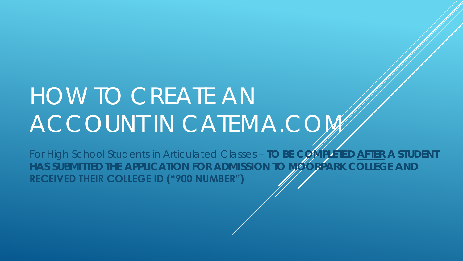## HOW TO CREATE AN ACCOUNT IN CATEMA.COM

For High School Students in Articulated Classes – **TO BE COMPLETED AFTER A STUDENT**  HAS SUBMITTED THE APPLICATION FOR ADMISSION TO MOORPARK COLLEGE AND **RECEIVED THEIR COLLEGE ID ("900 NUMBER")**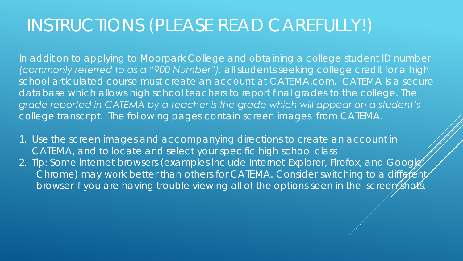## INSTRUCTIONS (PLEASE READ CAREFULLY!)

In addition to applying to Moorpark College and obtaining a college student ID number *(commonly referred to as a "900 Number"), all students seeking college credit for a high school articulated course must create an account at CATEMA.com. CATEMA is a secure*  database which allows high school teachers to report final grades to the college. The *grade reported in CATEMA by a teacher is the grade which will appear on a student's college transcript. The following pages contain screen images from CATEMA.*

- 1. Use the screen images and accompanying directions to create an account in CATEMA, and to locate and select your specific high school class
- 2. Tip: Some internet browsers (examples include Internet Explorer, Firefox, and Googles Chrome) may work better than others for CATEMA. Consider switching to a different browser if you are having trouble viewing all of the options seen in the screen shots.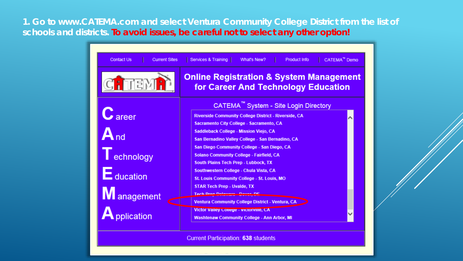**1. Go to www.CATEMA.com and select Ventura Community College District from the list of schools and districts. To avoid issues, be careful not to select any other option!** 

| Services & Training<br>CATEMA <sup>™</sup> Demo<br>What's New?<br><b>Product Info</b>                   |
|---------------------------------------------------------------------------------------------------------|
| <b>Online Registration &amp; System Management</b><br>for Career And Technology Education               |
| CATEMA <sup>™</sup> System - Site Login Directory                                                       |
| <b>Riverside Community College District - Riverside, CA</b><br>Sacramento City College - Sacramento, CA |
| Saddleback College - Mission Viejo, CA<br>San Bernadino Valley College - San Bernadino, CA              |
| San Diego Community College - San Diego, CA                                                             |
| <b>Solano Community College - Fairfield, CA</b><br>South Plains Tech Prep - Lubbock, TX                 |
| Southwestern College - Chula Vista, CA                                                                  |
| St. Louis Community College - St. Louis, MO<br><b>STAR Tech Prep - Uvalde, TX</b>                       |
| Tech Dron Dolomans Douar DE<br>Ventura Community College District - Ventura, CA                         |
| Victor Valley College - victorville, CA<br>Washtenaw Community College - Ann Arbor, MI                  |
|                                                                                                         |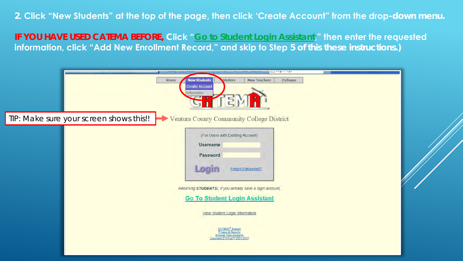## **2. Click "New Students" at the top of the page, then click 'Create Account" from the drop-down menu.**

**IF YOU HAVE USED CATEMA BEFORE, Click "Go to Student Login Assistant," then enter the requested information, click "Add New Enrollment Record," and skip to Step 5 of this these instructions.)**

|                                         | <b>New Students</b><br>Home.<br><b>Create Account</b><br>nformation<br><b>STEP</b> | <b>New Teachers</b><br>Visitors                                                                                                                                                                                                                                                                               | Colleges |  |
|-----------------------------------------|------------------------------------------------------------------------------------|---------------------------------------------------------------------------------------------------------------------------------------------------------------------------------------------------------------------------------------------------------------------------------------------------------------|----------|--|
| TIP: Make sure your screen shows this!! | ┳                                                                                  | Ventura County Community College District                                                                                                                                                                                                                                                                     |          |  |
|                                         | <b>Username</b><br>Password<br><b>LOCIT</b>                                        | (For Users with Existing Account)<br>Forgot Password?<br>Returning STUDENTS!, if you already have a login account,<br><b>Go To Student Login Assistant</b><br>View Student Login Information<br>CATEMA <sup>®</sup> System<br>Privacy & Security<br><b>Browser Requirements</b><br>ppyright STATco™ 2001-2017 |          |  |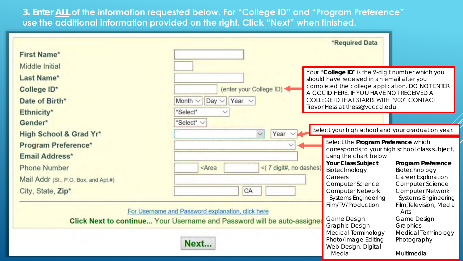**3. Enter ALL of the information requested below. For "College ID" and "Program Preference" use the additional information provided on the right. Click "Next" when finished.** 

|                                                               |                                                                                                                                                                                 | *Required Data                                                                                                                                                                                                                                                                |
|---------------------------------------------------------------|---------------------------------------------------------------------------------------------------------------------------------------------------------------------------------|-------------------------------------------------------------------------------------------------------------------------------------------------------------------------------------------------------------------------------------------------------------------------------|
| First Name*                                                   |                                                                                                                                                                                 |                                                                                                                                                                                                                                                                               |
| Middle Initial<br>Last Name*<br>College ID*<br>Date of Birth* | (enter your College ID)<br>Year $\vee$<br>Month $\vee$<br>$Day \vee$<br>*Select*                                                                                                | Your "College ID" is the 9-digit number which you<br>should have received in an email after you<br>completed the college application. DO NOT ENTER<br>A CCCID HERE. IF YOU HAVE NOT RECEIVED A<br>COLLEGE ID THAT STARTS WITH "900" CONTACT<br>Trevor Hess at thess@vcccd.edu |
| Ethnicity*<br>Gender*                                         | "Select" V                                                                                                                                                                      |                                                                                                                                                                                                                                                                               |
| High School & Grad Yr*                                        | Year<br>$\checkmark$                                                                                                                                                            | Select your high school and your graduation year.                                                                                                                                                                                                                             |
| <b>Program Preference*</b><br>Email Address*                  |                                                                                                                                                                                 | Select the Program Preference which<br>corresponds to your high school class subject,<br>using the chart below:                                                                                                                                                               |
| <b>Phone Number</b>                                           | <(7 digit#, no dashes)<br><area< th=""><th>Your Class Subject<br/>Program Preference<br/>Biotechnology<br/>Biotechnology<br/><b>Career Exploration</b><br/>Careers</th></area<> | Your Class Subject<br>Program Preference<br>Biotechnology<br>Biotechnology<br><b>Career Exploration</b><br>Careers                                                                                                                                                            |
| Mail Addr (St., P.O. Box, and Apt.#)<br>City, State, Zip*     | CA                                                                                                                                                                              | <b>Computer Science</b><br><b>Computer Science</b><br><b>Computer Network</b><br><b>Computer Network</b><br><b>Systems Engineering</b><br><b>Systems Engineering</b>                                                                                                          |
| For Username and Password explanation, click here             | Film/TV/Production<br>Film, Television, Media<br>Arts<br><b>Game Design</b><br><b>Game Design</b>                                                                               |                                                                                                                                                                                                                                                                               |
|                                                               | <b>Click Next to continue Your Username and Password will be auto-assigned</b><br>Next                                                                                          | <b>Graphic Design</b><br>Graphics<br>Medical Terminology<br>Medical Terminology<br>Photo/Image Editing<br>Photography<br>Web Design, Digital<br>Media<br>Multimedia                                                                                                           |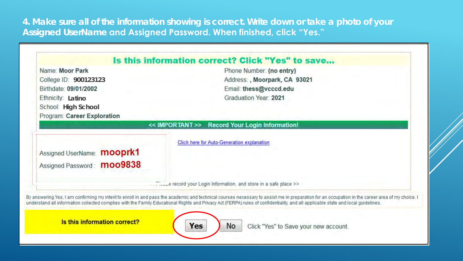**4. Make sure all of the information showing is correct. Write down or take a photo of your Assigned UserName and Assigned Password. When finished, click "Yes."**